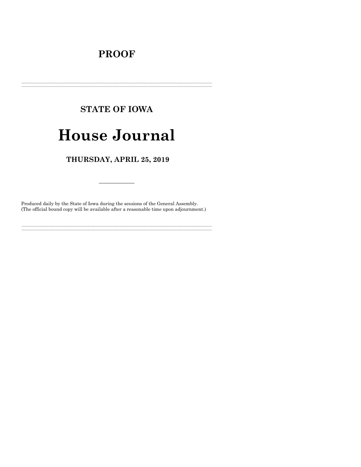## **PROOF**

## **STATE OF IOWA**

# **House Journal**

## THURSDAY, APRIL 25, 2019

Produced daily by the State of Iowa during the sessions of the General Assembly. (The official bound copy will be available after a reasonable time upon adjournment.)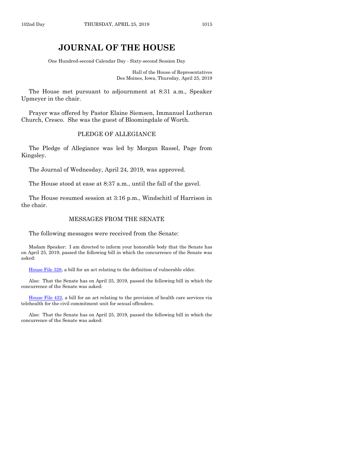### **JOURNAL OF THE HOUSE**

One Hundred-second Calendar Day - Sixty-second Session Day

Hall of the House of Representatives Des Moines, Iowa, Thursday, April 25, 2019

The House met pursuant to adjournment at 8:31 a.m., Speaker Upmeyer in the chair.

Prayer was offered by Pastor Elaine Siemsen, Immanuel Lutheran Church, Cresco. She was the guest of Bloomingdale of Worth.

#### PLEDGE OF ALLEGIANCE

The Pledge of Allegiance was led by Morgan Rassel, Page from Kingsley.

The Journal of Wednesday, April 24, 2019, was approved.

The House stood at ease at 8:37 a.m., until the fall of the gavel.

The House resumed session at 3:16 p.m., Windschitl of Harrison in the chair.

#### MESSAGES FROM THE SENATE

The following messages were received from the Senate:

Madam Speaker: I am directed to inform your honorable body that the Senate has on April 25, 2019, passed the following bill in which the concurrence of the Senate was asked:

[House File 328,](https://www.legis.iowa.gov/legislation/BillBook?ga=88&ba=HF328) a bill for an act relating to the definition of vulnerable elder.

Also: That the Senate has on April 25, 2019, passed the following bill in which the concurrence of the Senate was asked:

[House File 422,](https://www.legis.iowa.gov/legislation/BillBook?ga=88&ba=HF422) a bill for an act relating to the provision of health care services via telehealth for the civil commitment unit for sexual offenders.

Also: That the Senate has on April 25, 2019, passed the following bill in which the concurrence of the Senate was asked: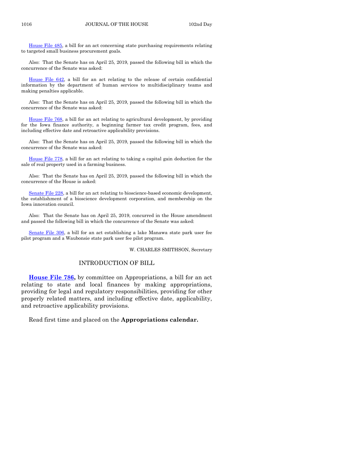[House File 485,](https://www.legis.iowa.gov/legislation/BillBook?ga=88&ba=HF485) a bill for an act concerning state purchasing requirements relating to targeted small business procurement goals.

Also: That the Senate has on April 25, 2019, passed the following bill in which the concurrence of the Senate was asked:

[House File 642,](https://www.legis.iowa.gov/legislation/BillBook?ga=88&ba=HF642) a bill for an act relating to the release of certain confidential information by the department of human services to multidisciplinary teams and making penalties applicable.

Also: That the Senate has on April 25, 2019, passed the following bill in which the concurrence of the Senate was asked:

[House File 768,](https://www.legis.iowa.gov/legislation/BillBook?ga=88&ba=HF768) a bill for an act relating to agricultural development, by providing for the Iowa finance authority, a beginning farmer tax credit program, fees, and including effective date and retroactive applicability provisions.

Also: That the Senate has on April 25, 2019, passed the following bill in which the concurrence of the Senate was asked:

House [File 778,](https://www.legis.iowa.gov/legislation/BillBook?ga=88&ba=HF778) a bill for an act relating to taking a capital gain deduction for the sale of real property used in a farming business.

Also: That the Senate has on April 25, 2019, passed the following bill in which the concurrence of the House is asked:

[Senate File 228,](https://www.legis.iowa.gov/legislation/BillBook?ga=88&ba=SF228) a bill for an act relating to bioscience-based economic development, the establishment of a bioscience development corporation, and membership on the Iowa innovation council.

Also: That the Senate has on April 25, 2019, concurred in the House amendment and passed the following bill in which the concurrence of the Senate was asked:

[Senate File 306,](https://www.legis.iowa.gov/legislation/BillBook?ga=88&ba=SF306) a bill for an act establishing a lake Manawa state park user fee pilot program and a Waubonsie state park user fee pilot program.

W. CHARLES SMITHSON, Secretary

#### INTRODUCTION OF BILL

**[House File 786,](https://www.legis.iowa.gov/legislation/BillBook?ga=88&ba=HF786)** by committee on Appropriations, a bill for an act relating to state and local finances by making appropriations, providing for legal and regulatory responsibilities, providing for other properly related matters, and including effective date, applicability, and retroactive applicability provisions.

Read first time and placed on the **Appropriations calendar.**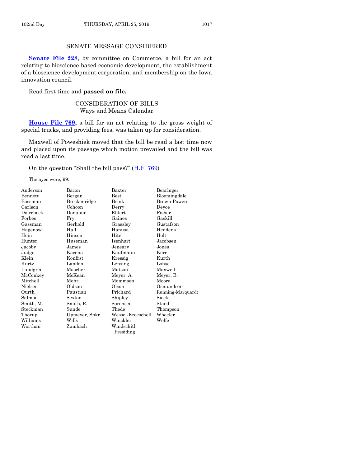#### SENATE MESSAGE CONSIDERED

[Senate File 228](https://www.legis.iowa.gov/legislation/BillBook?ga=88&ba=SF228), by committee on Commerce, a bill for an act relating to bioscience-based economic development, the establishment of a bioscience development corporation, and membership on the Iowa innovation council.

#### Read first time and **passed on file.**

#### CONSIDERATION OF BILLS Ways and Means Calendar

**[House File 769,](https://www.legis.iowa.gov/legislation/BillBook?ga=88&ba=HF769)** a bill for an act relating to the gross weight of special trucks, and providing fees, was taken up for consideration.

Maxwell of Poweshiek moved that the bill be read a last time now and placed upon its passage which motion prevailed and the bill was read a last time.

On the question "Shall the bill pass?" ([H.F. 769\)](https://www.legis.iowa.gov/legislation/BillBook?ga=88&ba=HF769)

The ayes were, 99:

| Anderson  | Bacon          | Baxter            | Bearinger         |
|-----------|----------------|-------------------|-------------------|
| Bennett   | Bergan         | $_{\rm Best}$     | Bloomingdale      |
| Bossman   | Breckenridge   | Brink             | Brown-Powers      |
| Carlson   | Cohoon         | Derry             | Deyoe             |
| Dolecheck | Donahue        | Ehlert            | Fisher            |
| Forbes    | Fry            | Gaines            | Gaskill           |
| Gassman   | Gerhold        | Grassley          | Gustafson         |
| Hagenow   | Hall           | Hanusa            | Heddens           |
| Hein      | Hinson         | Hite              | Holt              |
| Hunter    | Huseman        | Isenhart          | Jacobsen          |
| Jacoby    | James          | Jeneary           | Jones             |
| Judge     | Kacena         | Kaufmann          | Kerr              |
| Klein     | Konfrst        | Kressig           | Kurth             |
| Kurtz     | Landon         | Lensing           | Lohse             |
| Lundgren  | Mascher        | Matson            | Maxwell           |
| McConkey  | McKean         | Meyer, A.         | Meyer, B.         |
| Mitchell  | Mohr           | Mommsen           | Moore             |
| Nielsen   | Oldson         | Olson             | Osmundson         |
| Ourth     | Paustian       | Prichard          | Running-Marquardt |
| Salmon    | Sexton         | Shipley           | Sieck             |
| Smith, M. | Smith, R.      | Sorensen          | Staed             |
| Steckman  | Sunde          | Thede             | Thompson          |
| Thorup    | Upmeyer, Spkr. | Wessel-Kroeschell | Wheeler           |
| Williams  | Wills          | Winckler          | Wolfe             |
| Worthan   | Zumbach        | Windschitl,       |                   |
|           |                | Presiding         |                   |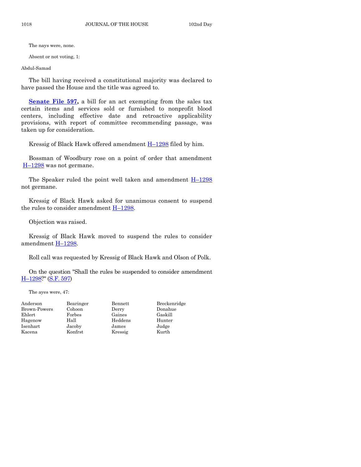The nays were, none.

Absent or not voting, 1:

Abdul-Samad

The bill having received a constitutional majority was declared to have passed the House and the title was agreed to.

**<u>Senate File 597</u>**, a bill for an act exempting from the sales tax certain items and services sold or furnished to nonprofit blood centers, including effective date and retroactive applicability provisions, with report of committee recommending passage, was taken up for consideration.

Kressig of Black Hawk offered amendment H–[1298](https://www.legis.iowa.gov/legislation/BillBook?ga=88&ba=H1298) filed by him.

Bossman of Woodbury rose on a point of order that amendment H–[1298](https://www.legis.iowa.gov/legislation/BillBook?ga=88&ba=H1298) was not germane.

The Speaker ruled the point well taken and amendment  $H-1298$  $H-1298$ not germane.

Kressig of Black Hawk asked for unanimous consent to suspend the rules to consider amendment  $H-1298$ .

Objection was raised.

Kressig of Black Hawk moved to suspend the rules to consider amendment H-[1298.](https://www.legis.iowa.gov/legislation/BillBook?ga=88&ba=H1298)

Roll call was requested by Kressig of Black Hawk and Olson of Polk.

On the question "Shall the rules be suspended to consider amendment H–[1298?](https://www.legis.iowa.gov/legislation/BillBook?ga=88&ba=H1298)" [\(S.F. 597\)](https://www.legis.iowa.gov/legislation/BillBook?ga=88&ba=SF597)

The ayes were, 47:

| Anderson     | Bearinger | Bennett | Breckenridge |
|--------------|-----------|---------|--------------|
| Brown-Powers | Cohoon    | Derry   | Donahue      |
| Ehlert       | Forbes    | Gaines  | Gaskill      |
| Hagenow      | Hall      | Heddens | Hunter       |
| Isenhart     | Jacoby    | James   | Judge        |
| Kacena       | Konfrst   | Kressig | Kurth        |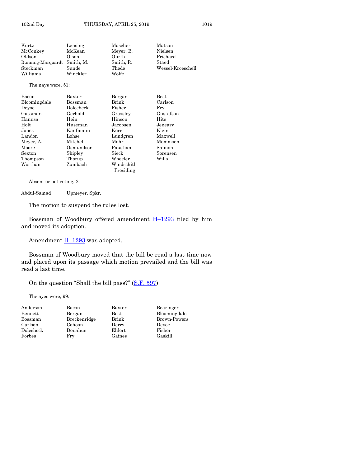Kurtz Lensing Mascher Matson McConkey McKean Meyer, B. Nielsen<br>Oldson Olson Ourth Prichare Oldson Olson Ourth Prichard Running-Marquardt Smith, M. Smith, R. Staed Steckman Sunde Thede Wessel-Kroeschell Williams Winckler Wolfe The nays were, 51: Bacon Baxter Bergan Best Bloomingdale Bossman Brink Carlson Deyoe Dolecheck Fisher Fry Gassman Gerhold Grassley Gustafson Hanusa Hein Hinson Hite Holt Huseman Jacobsen Jeneary Jones Kaufmann Kerr Klein Landon Lohse Lundgren Maxwell Meyer, A. Mitchell Mohr Mommsen Moore Osmundson Paustian Salmon Sexton Shipley Sieck Sorensen Thompson Worthan Zumbach Windschitl,

Absent or not voting, 2:

Abdul-Samad Upmeyer, Spkr.

The motion to suspend the rules lost.

Bossman of Woodbury offered amendment H–[1293](https://www.legis.iowa.gov/legislation/BillBook?ga=88&ba=H1293) filed by him and moved its adoption.

Presiding

Amendment  $H-1293$  $H-1293$  was adopted.

Bossman of Woodbury moved that the bill be read a last time now and placed upon its passage which motion prevailed and the bill was read a last time.

On the question "Shall the bill pass?" ([S.F. 597\)](https://www.legis.iowa.gov/legislation/BillBook?ga=88&ba=SF597)

The ayes were, 99:

| Anderson  | Bacon        | Baxter        | Bearinger    |
|-----------|--------------|---------------|--------------|
| Bennett   | Bergan       | $_{\rm Best}$ | Bloomingdale |
| Bossman   | Breckenridge | Brink         | Brown-Powers |
| Carlson   | Cohoon       | Derry         | Devoe        |
| Dolecheck | Donahue      | Ehlert        | Fisher       |
| Forbes    | Fry          | Gaines        | Gaskill      |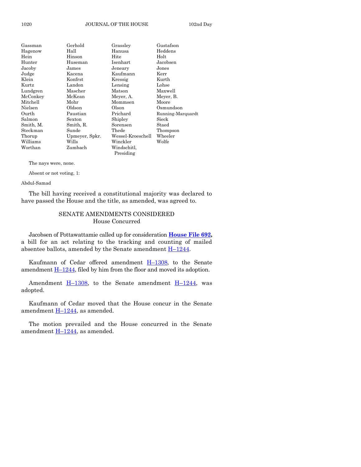| Gassman   | Gerhold        | Grassley          | Gustafson         |
|-----------|----------------|-------------------|-------------------|
| Hagenow   | Hall           | Hanusa            | Heddens           |
| Hein      | Hinson         | Hite              | Holt              |
| Hunter    | Huseman        | Isenhart          | Jacobsen          |
| Jacoby    | James          | Jeneary           | Jones             |
| Judge     | Kacena         | Kaufmann          | Kerr              |
| Klein     | Konfrst        | Kressig           | Kurth             |
| Kurtz     | Landon         | Lensing           | Lohse             |
| Lundgren  | Mascher        | Matson            | Maxwell           |
| McConkey  | McKean         | Meyer, A.         | Meyer, B.         |
| Mitchell  | Mohr           | Mommsen           | Moore             |
| Nielsen   | Oldson         | Olson             | Osmundson         |
| Ourth     | Paustian       | Prichard          | Running-Marquardt |
| Salmon    | Sexton         | Shipley           | Sieck             |
| Smith, M. | Smith, R.      | Sorensen          | Staed             |
| Steckman  | Sunde          | Thede             | Thompson          |
| Thorup    | Upmeyer, Spkr. | Wessel-Kroeschell | Wheeler           |
| Williams  | Wills          | Winckler          | Wolfe             |
| Worthan   | Zumbach        | Windschitl,       |                   |
|           |                | Presiding         |                   |

#### The nays were, none.

Absent or not voting, 1:

Abdul-Samad

The bill having received a constitutional majority was declared to have passed the House and the title, as amended, was agreed to.

#### SENATE AMENDMENTS CONSIDERED House Concurred

Jacobsen of Pottawattamie called up for consideration **[House File 692,](https://www.legis.iowa.gov/legislation/BillBook?ga=88&ba=HF692)** a bill for an act relating to the tracking and counting of mailed absentee ballots, amended by the Senate amendment  $\underline{H-1244}$ .

Kaufmann of Cedar offered amendment  $H-1308$ , to the Senate amendment  $H-1244$ , filed by him from the floor and moved its adoption.

Amendment  $\underline{H-1308}$ , to the Senate amendment  $\underline{H-1244}$ , was adopted.

Kaufmann of Cedar moved that the House concur in the Senate amendment  $H-1244$ , as amended.

The motion prevailed and the House concurred in the Senate amendment  $H-1244$ , as amended.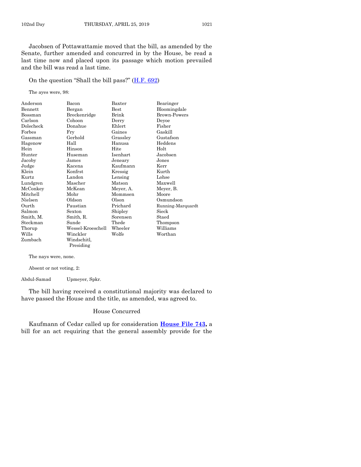Jacobsen of Pottawattamie moved that the bill, as amended by the Senate, further amended and concurred in by the House, be read a last time now and placed upon its passage which motion prevailed and the bill was read a last time.

On the question "Shall the bill pass?" ([H.F. 692\)](https://www.legis.iowa.gov/legislation/BillBook?ga=88&ba=HF692)

The ayes were, 98:

| Anderson       | Bacon             | Baxter      | Bearinger           |
|----------------|-------------------|-------------|---------------------|
| <b>Bennett</b> | Bergan            | <b>Best</b> | Bloomingdale        |
| Bossman        | Breckenridge      | Brink       | <b>Brown-Powers</b> |
| Carlson        | Cohoon            | Derry       | Deyoe               |
| Dolecheck      | Donahue           | Ehlert      | Fisher              |
| Forbes         | Fry               | Gaines      | Gaskill             |
| Gassman        | Gerhold           | Grassley    | Gustafson           |
| Hagenow        | Hall              | Hanusa      | Heddens             |
| Hein           | Hinson            | Hite        | Holt                |
| Hunter         | Huseman           | Isenhart    | Jacobsen            |
| Jacoby         | James             | Jeneary     | Jones               |
| Judge          | Kacena            | Kaufmann    | Kerr                |
| Klein          | Konfrst           | Kressig     | Kurth               |
| Kurtz          | Landon            | Lensing     | Lohse               |
| Lundgren       | Mascher           | Matson      | Maxwell             |
| McConkey       | McKean            | Meyer, A.   | Meyer, B.           |
| Mitchell       | Mohr              | Mommsen     | Moore               |
| Nielsen        | Oldson            | Olson       | Osmundson           |
| Ourth          | Paustian          | Prichard    | Running-Marquardt   |
| Salmon         | Sexton            | Shipley     | Sieck               |
| Smith, M.      | Smith, R.         | Sorensen    | Staed               |
| Steckman       | Sunde             | Thede       | Thompson            |
| Thorup         | Wessel-Kroeschell | Wheeler     | Williams            |
| Wills          | Winckler          | Wolfe       | Worthan             |
| Zumbach        | Windschitl,       |             |                     |
|                | Presiding         |             |                     |

The nays were, none.

Absent or not voting, 2:

Abdul-Samad Upmeyer, Spkr.

The bill having received a constitutional majority was declared to have passed the House and the title, as amended, was agreed to.

#### House Concurred

Kaufmann of Cedar called up for consideration **[House File 743,](https://www.legis.iowa.gov/legislation/BillBook?ga=88&ba=HF743)** a bill for an act requiring that the general assembly provide for the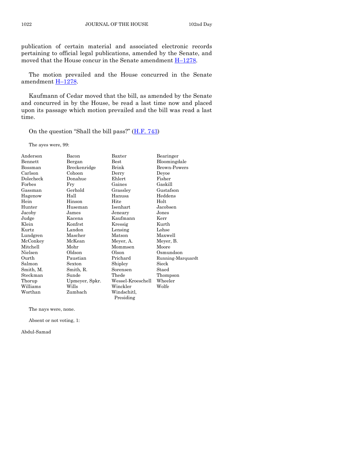publication of certain material and associated electronic records pertaining to official legal publications, amended by the Senate, and moved that the House concur in the Senate amendment  $H-1278$ .

The motion prevailed and the House concurred in the Senate amendment H–[1278.](https://www.legis.iowa.gov/legislation/BillBook?ga=88&ba=H1278)

Kaufmann of Cedar moved that the bill, as amended by the Senate and concurred in by the House, be read a last time now and placed upon its passage which motion prevailed and the bill was read a last time.

On the question "Shall the bill pass?"  $(H.F. 743)$  $(H.F. 743)$ 

The ayes were, 99:

| Anderson       | Bacon          | Baxter            | Bearinger         |
|----------------|----------------|-------------------|-------------------|
| <b>Bennett</b> | Bergan         | <b>Best</b>       | Bloomingdale      |
| Bossman        | Breckenridge   | Brink             | Brown-Powers      |
| Carlson        | Cohoon         | Derry             | Deyoe             |
| Dolecheck      | Donahue        | Ehlert            | Fisher            |
| Forbes         | Fry            | Gaines            | Gaskill           |
| Gassman        | Gerhold        | Grassley          | Gustafson         |
| Hagenow        | Hall           | Hanusa            | Heddens           |
| Hein           | Hinson         | Hite              | Holt              |
| Hunter         | Huseman        | Isenhart          | Jacobsen          |
| Jacoby         | James          | Jeneary           | Jones             |
| Judge          | Kacena         | Kaufmann          | Kerr              |
| Klein          | Konfrst        | Kressig           | Kurth             |
| Kurtz          | Landon         | Lensing           | Lohse             |
| Lundgren       | Mascher        | Matson            | Maxwell           |
| McConkey       | McKean         | Meyer, A.         | Meyer, B.         |
| Mitchell       | Mohr           | Mommsen           | Moore             |
| Nielsen        | Oldson         | Olson             | Osmundson         |
| Ourth          | Paustian       | Prichard          | Running-Marquardt |
| Salmon         | Sexton         | Shipley           | Sieck             |
| Smith, M.      | Smith, R.      | Sorensen          | Staed             |
| Steckman       | Sunde          | Thede             | Thompson          |
| Thorup         | Upmeyer, Spkr. | Wessel-Kroeschell | Wheeler           |
| Williams       | Wills          | Winckler          | Wolfe             |
| Worthan        | Zumbach        | Windschitl,       |                   |
|                |                | Presiding         |                   |

The nays were, none.

Absent or not voting, 1:

Abdul-Samad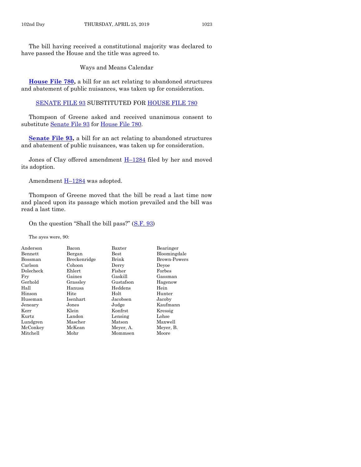Ways and Means Calendar

**[House File 780,](https://www.legis.iowa.gov/legislation/BillBook?ga=88&ba=HF780)** a bill for an act relating to abandoned structures and abatement of public nuisances, was taken up for consideration.

[SENATE FILE 93](https://www.legis.iowa.gov/legislation/BillBook?ga=88&ba=SF93) SUBSTITUTED FOR [HOUSE FILE 780](https://www.legis.iowa.gov/legislation/BillBook?ga=88&ba=HF780)

Thompson of Greene asked and received unanimous consent to substitute [Senate File 93](https://www.legis.iowa.gov/legislation/BillBook?ga=88&ba=SF93) for [House File 780.](https://www.legis.iowa.gov/legislation/BillBook?ga=88&ba=HF780)

**[Senate File 93,](https://www.legis.iowa.gov/legislation/BillBook?ga=88&ba=SF93)** a bill for an act relating to abandoned structures and abatement of public nuisances, was taken up for consideration.

Jones of Clay offered amendment H–[1284](https://www.legis.iowa.gov/legislation/BillBook?ga=88&ba=H1284) filed by her and moved its adoption.

Amendment  $H-1284$  $H-1284$  was adopted.

Thompson of Greene moved that the bill be read a last time now and placed upon its passage which motion prevailed and the bill was read a last time.

On the question "Shall the bill pass?" ([S.F. 93\)](https://www.legis.iowa.gov/legislation/BillBook?ga=88&ba=SF93)

The ayes were, 90:

| Anderson  | Bacon        | Baxter        | Bearinger           |
|-----------|--------------|---------------|---------------------|
| Bennett   | Bergan       | $_{\rm Best}$ | Bloomingdale        |
| Bossman   | Breckenridge | Brink         | <b>Brown-Powers</b> |
| Carlson   | Cohoon       | Derry         | Devoe               |
| Dolecheck | Ehlert       | Fisher        | Forbes              |
| Fry       | Gaines       | Gaskill       | Gassman             |
| Gerhold   | Grassley     | Gustafson     | Hagenow             |
| Hall      | Hanusa       | Heddens       | Hein                |
| Hinson    | Hite         | Holt          | Hunter              |
| Huseman   | Isenhart     | Jacobsen      | Jacoby              |
| Jeneary   | Jones        | Judge         | Kaufmann            |
| Kerr      | Klein        | Konfrst       | Kressig             |
| Kurtz     | Landon       | Lensing       | Lohse               |
| Lundgren  | Mascher      | Matson        | Maxwell             |
| McConkey  | McKean       | Meyer, A.     | Meyer, B.           |
| Mitchell  | Mohr         | Mommsen       | Moore               |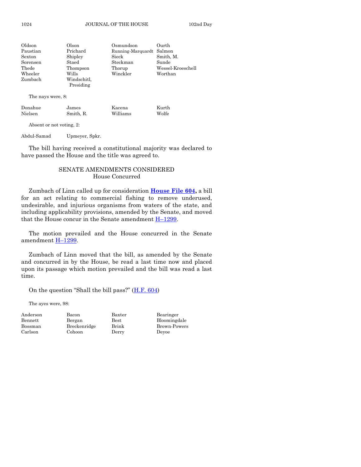| Oldson   | Olson       | Osmundson                | Ourth             |
|----------|-------------|--------------------------|-------------------|
| Paustian | Prichard    | Running-Marquardt Salmon |                   |
| Sexton   | Shipley     | Sieck                    | Smith, M.         |
| Sorensen | Staed       | Steckman                 | Sunde             |
| Thede    | Thompson    | Thorup                   | Wessel-Kroeschell |
| Wheeler  | Wills       | Winckler                 | Worthan           |
| Zumbach  | Windschitl. |                          |                   |
|          | Presiding   |                          |                   |

The nays were, 8:

| James     |          | Kurth  |
|-----------|----------|--------|
| Smith, R. | Williams | Wolfe  |
|           |          | Kacena |

Absent or not voting, 2:

Abdul-Samad Upmeyer, Spkr.

The bill having received a constitutional majority was declared to have passed the House and the title was agreed to.

#### SENATE AMENDMENTS CONSIDERED House Concurred

Zumbach of Linn called up for consideration **[House File 604,](https://www.legis.iowa.gov/legislation/BillBook?ga=88&ba=HF604)** a bill for an act relating to commercial fishing to remove underused, undesirable, and injurious organisms from waters of the state, and including applicability provisions, amended by the Senate, and moved that the House concur in the Senate amendment H–[1299.](https://www.legis.iowa.gov/legislation/BillBook?ga=88&ba=H1299)

The motion prevailed and the House concurred in the Senate amendment H–[1299.](https://www.legis.iowa.gov/legislation/BillBook?ga=88&ba=H1299)

Zumbach of Linn moved that the bill, as amended by the Senate and concurred in by the House, be read a last time now and placed upon its passage which motion prevailed and the bill was read a last time.

On the question "Shall the bill pass?"  $(\underline{H.F. 604})$ 

The ayes were, 98:

Anderson Bacon Baxter Bearinger Carlson Cohoon Derry Deyoe

Bennett Bergan Best Bloomingdale Bossman Breckenridge Brink Brown-Powers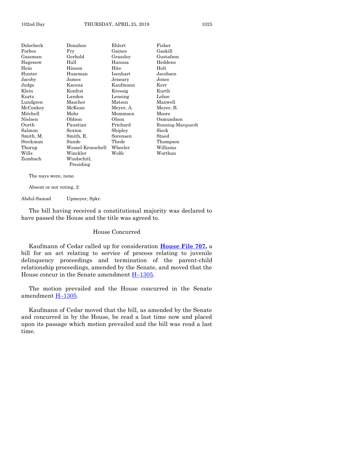| Dolecheck | Donahue           | Ehlert    | Fisher            |
|-----------|-------------------|-----------|-------------------|
| Forbes    | Fry               | Gaines    | Gaskill           |
| Gassman   | Gerhold           | Grassley  | Gustafson         |
| Hagenow   | Hall              | Hanusa    | Heddens           |
| Hein      | Hinson            | Hite      | Holt              |
| Hunter    | Huseman           | Isenhart  | Jacobsen          |
| Jacoby    | James             | Jeneary   | Jones             |
| Judge     | Kacena            | Kaufmann  | Kerr              |
| Klein     | Konfrst           | Kressig   | Kurth             |
| Kurtz     | Landon            | Lensing   | Lohse             |
| Lundgren  | Mascher           | Matson    | Maxwell           |
| McConkey  | McKean            | Meyer, A. | Meyer, B.         |
| Mitchell  | Mohr              | Mommsen   | Moore             |
| Nielsen   | Oldson            | Olson     | Osmundson         |
| Ourth     | Paustian          | Prichard  | Running-Marquardt |
| Salmon    | Sexton            | Shipley   | Sieck             |
| Smith, M. | Smith, R.         | Sorensen  | Staed             |
| Steckman  | Sunde             | Thede     | Thompson          |
| Thorup    | Wessel-Kroeschell | Wheeler   | Williams          |
| Wills     | Winckler          | Wolfe     | Worthan           |
| Zumbach   | Windschitl.       |           |                   |
|           | Presiding         |           |                   |
|           |                   |           |                   |

The nays were, none.

Absent or not voting, 2:

Abdul-Samad Upmeyer, Spkr.

The bill having received a constitutional majority was declared to have passed the House and the title was agreed to.

#### House Concurred

Kaufmann of Cedar called up for consideration **[House File 707,](https://www.legis.iowa.gov/legislation/BillBook?ga=88&ba=HF707)** a bill for an act relating to service of process relating to juvenile delinquency proceedings and termination of the parent-child relationship proceedings, amended by the Senate, and moved that the House concur in the Senate amendment  $H-1305$ .

The motion prevailed and the House concurred in the Senate amendment H–[1305.](https://www.legis.iowa.gov/legislation/BillBook?ga=88&ba=H1305)

Kaufmann of Cedar moved that the bill, as amended by the Senate and concurred in by the House, be read a last time now and placed upon its passage which motion prevailed and the bill was read a last time.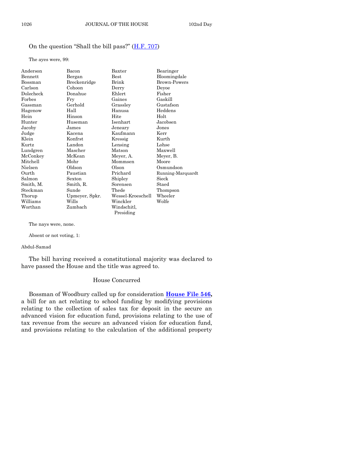#### On the question "Shall the bill pass?" ([H.F. 707\)](https://www.legis.iowa.gov/legislation/BillBook?ga=88&ba=HF707)

The ayes were, 99:

| Anderson  | Bacon          | Baxter            | Bearinger         |
|-----------|----------------|-------------------|-------------------|
| Bennett   | Bergan         | $_{\rm Best}$     | Bloomingdale      |
| Bossman   | Breckenridge   | Brink             | Brown-Powers      |
| Carlson   | Cohoon         | Derry             | Deyoe             |
| Dolecheck | Donahue        | Ehlert            | Fisher            |
| Forbes    | Fry            | Gaines            | Gaskill           |
| Gassman   | Gerhold        | Grassley          | Gustafson         |
| Hagenow   | Hall           | Hanusa            | Heddens           |
| Hein      | Hinson         | Hite              | Holt              |
| Hunter    | Huseman        | Isenhart          | Jacobsen          |
| Jacoby    | James          | Jeneary           | Jones             |
| Judge     | Kacena         | Kaufmann          | Kerr              |
| Klein     | Konfrst        | Kressig           | Kurth             |
| Kurtz     | Landon         | Lensing           | Lohse             |
| Lundgren  | Mascher        | Matson            | Maxwell           |
| McConkey  | McKean         | Meyer, A.         | Meyer, B.         |
| Mitchell  | Mohr           | Mommsen           | Moore             |
| Nielsen   | Oldson         | O <sub>lson</sub> | Osmundson         |
| Ourth     | Paustian       | Prichard          | Running-Marquardt |
| Salmon    | Sexton         | Shipley           | Sieck             |
| Smith, M. | Smith, R.      | Sorensen          | Staed             |
| Steckman  | Sunde          | Thede             | Thompson          |
| Thorup    | Upmeyer, Spkr. | Wessel-Kroeschell | Wheeler           |
| Williams  | Wills          | Winckler          | Wolfe             |
| Worthan   | Zumbach        | Windschitl,       |                   |
|           |                | Presiding         |                   |

The nays were, none.

Absent or not voting, 1:

#### Abdul-Samad

The bill having received a constitutional majority was declared to have passed the House and the title was agreed to.

#### House Concurred

Bossman of Woodbury called up for consideration **[House File 546,](https://www.legis.iowa.gov/legislation/BillBook?ga=88&ba=HF546)** a bill for an act relating to school funding by modifying provisions relating to the collection of sales tax for deposit in the secure an advanced vision for education fund, provisions relating to the use of tax revenue from the secure an advanced vision for education fund, and provisions relating to the calculation of the additional property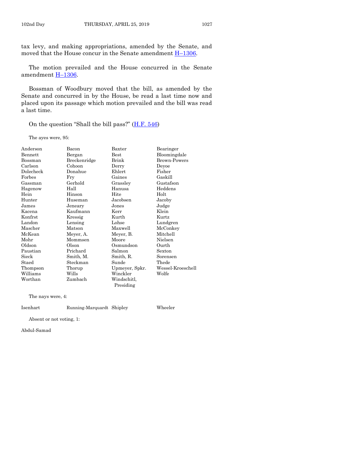tax levy, and making appropriations, amended by the Senate, and moved that the House concur in the Senate amendment  $H-1306$ .

The motion prevailed and the House concurred in the Senate amendment H–[1306.](https://www.legis.iowa.gov/legislation/BillBook?ga=88&ba=H1306)

Bossman of Woodbury moved that the bill, as amended by the Senate and concurred in by the House, be read a last time now and placed upon its passage which motion prevailed and the bill was read a last time.

On the question "Shall the bill pass?" ([H.F. 546\)](https://www.legis.iowa.gov/legislation/BillBook?ga=88&ba=HF546)

The ayes were, 95:

| Anderson  | Bacon        | Baxter         | Bearinger         |
|-----------|--------------|----------------|-------------------|
| Bennett   | Bergan       | $_{\rm Best}$  | Bloomingdale      |
| Bossman   | Breckenridge | Brink          | Brown-Powers      |
| Carlson   | Cohoon       | Derry          | Deyoe             |
| Dolecheck | Donahue      | Ehlert         | Fisher            |
| Forbes    | Fry          | Gaines         | Gaskill           |
| Gassman   | Gerhold      | Grassley       | Gustafson         |
| Hagenow   | Hall         | Hanusa         | Heddens           |
| Hein      | Hinson       | Hite           | Holt              |
| Hunter    | Huseman      | Jacobsen       | Jacoby            |
| James     | Jeneary      | Jones          | Judge             |
| Kacena    | Kaufmann     | Kerr           | Klein             |
| Konfrst   | Kressig      | Kurth          | Kurtz             |
| Landon    | Lensing      | Lohse          | Lundgren          |
| Mascher   | Matson       | Maxwell        | McConkey          |
| McKean    | Meyer, A.    | Meyer, B.      | Mitchell          |
| Mohr      | Mommsen      | Moore          | Nielsen           |
| Oldson    | Olson        | Osmundson      | Ourth             |
| Paustian  | Prichard     | Salmon         | Sexton            |
| Sieck     | Smith, M.    | Smith, R.      | Sorensen          |
| Staed     | Steckman     | Sunde          | Thede             |
| Thompson  | Thorup       | Upmeyer, Spkr. | Wessel-Kroeschell |
| Williams  | Wills        | Winckler       | Wolfe             |
| Worthan   | Zumbach      | Windschitl,    |                   |
|           |              | Presiding      |                   |

The nays were, 4:

Isenhart Running-Marquardt Shipley Wheeler

Absent or not voting, 1:

Abdul-Samad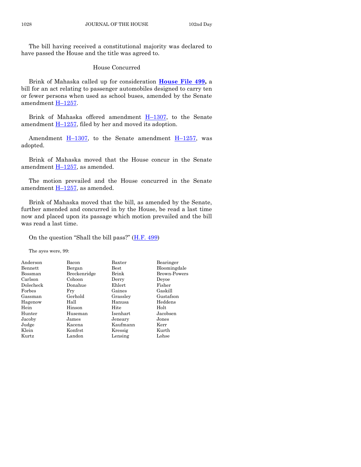#### House Concurred

Brink of Mahaska called up for consideration **[House File 499,](https://www.legis.iowa.gov/legislation/BillBook?ga=88&ba=HF499)** a bill for an act relating to passenger automobiles designed to carry ten or fewer persons when used as school buses, amended by the Senate amendment H-[1257.](https://www.legis.iowa.gov/legislation/BillBook?ga=88&ba=H1257)

Brink of Mahaska offered amendment  $H-1307$ , to the Senate amendment H–[1257,](https://www.legis.iowa.gov/legislation/BillBook?ga=88&ba=H1257) filed by her and moved its adoption.

Amendment  $H-1307$ , to the Senate amendment  $H-1257$ , was adopted.

Brink of Mahaska moved that the House concur in the Senate amendment H–[1257,](https://www.legis.iowa.gov/legislation/BillBook?ga=88&ba=H1257) as amended.

The motion prevailed and the House concurred in the Senate amendment  $H-1257$ , as amended.

Brink of Mahaska moved that the bill, as amended by the Senate, further amended and concurred in by the House, be read a last time now and placed upon its passage which motion prevailed and the bill was read a last time.

#### On the question "Shall the bill pass?" ([H.F. 499\)](https://www.legis.iowa.gov/legislation/BillBook?ga=88&ba=HF499)

The ayes were, 99:

| Anderson  | Bacon        | Baxter        | Bearinger           |
|-----------|--------------|---------------|---------------------|
| Bennett   | Bergan       | $_{\rm Best}$ | Bloomingdale        |
| Bossman   | Breckenridge | Brink         | <b>Brown-Powers</b> |
| Carlson   | Cohoon       | Derry         | Devoe               |
| Dolecheck | Donahue      | Ehlert        | Fisher              |
| Forbes    | Frv          | Gaines        | Gaskill             |
| Gassman   | Gerhold      | Grassley      | Gustafson           |
| Hagenow   | Hall         | Hanusa        | Heddens             |
| Hein      | Hinson       | Hite          | Holt                |
| Hunter    | Huseman      | Isenhart      | Jacobsen            |
| Jacoby    | James        | Jeneary       | Jones               |
| Judge     | Kacena       | Kaufmann      | Kerr                |
| Klein     | Konfrst      | Kressig       | Kurth               |
| Kurtz     | Landon       | Lensing       | Lohse               |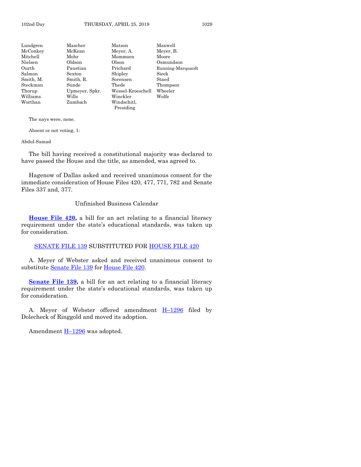| Lundgren  | Mascher        | Matson            | Maxwell           |
|-----------|----------------|-------------------|-------------------|
| McConkey  | McKean         | Meyer, A.         | Meyer, B.         |
| Mitchell  | Mohr           | Mommsen           | Moore             |
| Nielsen   | Oldson         | Olson             | Osmundson         |
| Ourth     | Paustian       | Prichard          | Running-Marquardt |
| Salmon    | Sexton         | Shipley           | Sieck             |
| Smith, M. | Smith, R.      | Sorensen          | Staed             |
| Steckman  | Sunde          | Thede             | Thompson          |
| Thorup    | Upmeyer, Spkr. | Wessel-Kroeschell | Wheeler           |
| Williams  | Wills          | Winckler          | Wolfe             |
| Worthan   | Zumbach        | Windschitl,       |                   |
|           |                | Presiding         |                   |
|           |                |                   |                   |

The nays were, none.

Absent or not voting, 1:

#### Abdul-Samad

The bill having received a constitutional majority was declared to have passed the House and the title, as amended, was agreed to.

Hagenow of Dallas asked and received unanimous consent for the immediate consideration of House Files 420, 477, 771, 782 and Senate Files 337 and, 377.

#### Unfinished Business Calendar

**[House File 420,](https://www.legis.iowa.gov/legislation/BillBook?ga=88&ba=HF420)** a bill for an act relating to a financial literacy requirement under the state's educational standards, was taken up for consideration.

#### [SENATE FILE 139](https://www.legis.iowa.gov/legislation/BillBook?ga=88&ba=SF139) SUBSTITUTED FOR [HOUSE FILE 420](https://www.legis.iowa.gov/legislation/BillBook?ga=88&ba=HF420)

A. Meyer of Webster asked and received unanimous consent to substitute [Senate File 139](https://www.legis.iowa.gov/legislation/BillBook?ga=88&ba=SF139) for [House File 420.](https://www.legis.iowa.gov/legislation/BillBook?ga=88&ba=HF420)

**[Senate File 139,](https://www.legis.iowa.gov/legislation/BillBook?ga=88&ba=SF139)** a bill for an act relating to a financial literacy requirement under the state's educational standards, was taken up for consideration.

A. Meyer of Webster offered amendment  $H-1296$  $H-1296$  filed by Dolecheck of Ringgold and moved its adoption.

Amendment  $H-1296$  $H-1296$  was adopted.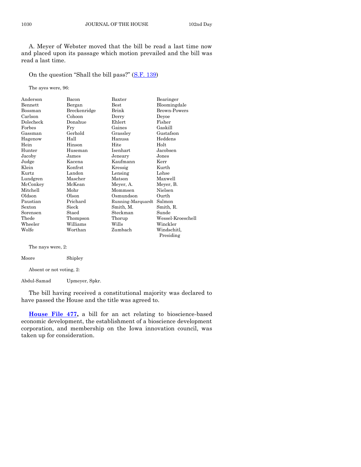A. Meyer of Webster moved that the bill be read a last time now and placed upon its passage which motion prevailed and the bill was read a last time.

On the question "Shall the bill pass?" ([S.F. 139\)](https://www.legis.iowa.gov/legislation/BillBook?ga=88&ba=SF139)

The ayes were, 96:

| Anderson  | Bacon        | Baxter            | Bearinger           |
|-----------|--------------|-------------------|---------------------|
| Bennett   | Bergan       | $_{\rm Best}$     | Bloomingdale        |
| Bossman   | Breckenridge | Brink             | <b>Brown-Powers</b> |
| Carlson   | Cohoon       | Derry             | Devoe               |
| Dolecheck | Donahue      | Ehlert            | Fisher              |
| Forbes    | Fry          | Gaines            | Gaskill             |
| Gassman   | Gerhold      | Grassley          | Gustafson           |
| Hagenow   | Hall         | Hanusa            | Heddens             |
| Hein      | Hinson       | Hite              | Holt                |
| Hunter    | Huseman      | Isenhart          | Jacobsen            |
| Jacoby    | James        | Jeneary           | Jones               |
| Judge     | Kacena       | Kaufmann          | Kerr                |
| Klein     | Konfrst      | Kressig           | Kurth               |
| Kurtz     | Landon       | Lensing           | Lohse               |
| Lundgren  | Mascher      | Matson            | Maxwell             |
| McConkey  | McKean       | Meyer, A.         | Meyer, B.           |
| Mitchell  | Mohr         | Mommsen           | Nielsen             |
| Oldson    | Olson        | Osmundson         | Ourth               |
| Paustian  | Prichard     | Running-Marquardt | Salmon              |
| Sexton    | Sieck        | Smith, M.         | Smith, R.           |
| Sorensen  | Staed        | Steckman          | Sunde               |
| Thede     | Thompson     | Thorup            | Wessel-Kroeschell   |
| Wheeler   | Williams     | Wills             | Winckler            |
| Wolfe     | Worthan      | Zumbach           | Windschitl,         |
|           |              |                   | Presiding           |

The nays were, 2:

Moore Shipley

Absent or not voting, 2:

Abdul-Samad Upmeyer, Spkr.

The bill having received a constitutional majority was declared to have passed the House and the title was agreed to.

**[House File 477,](https://www.legis.iowa.gov/legislation/BillBook?ga=88&ba=HF477)** a bill for an act relating to bioscience-based economic development, the establishment of a bioscience development corporation, and membership on the Iowa innovation council, was taken up for consideration.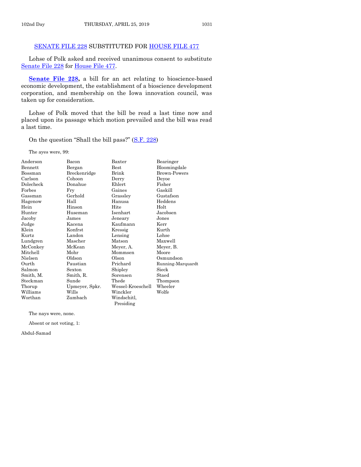#### [SENATE FILE 228](https://www.legis.iowa.gov/legislation/BillBook?ga=88&ba=SF228) SUBSTITUTED FOR [HOUSE FILE 477](https://www.legis.iowa.gov/legislation/BillBook?ga=88&ba=HF477)

Lohse of Polk asked and received unanimous consent to substitute [Senate File 228](https://www.legis.iowa.gov/legislation/BillBook?ga=88&ba=SF228) for [House File 477.](https://www.legis.iowa.gov/legislation/BillBook?ga=88&ba=HF477)

[Senate File 228,](https://www.legis.iowa.gov/legislation/BillBook?ga=88&ba=SF228) a bill for an act relating to bioscience-based economic development, the establishment of a bioscience development corporation, and membership on the Iowa innovation council, was taken up for consideration.

Lohse of Polk moved that the bill be read a last time now and placed upon its passage which motion prevailed and the bill was read a last time.

On the question "Shall the bill pass?" ([S.F. 228\)](https://www.legis.iowa.gov/legislation/BillBook?ga=88&ba=SF228)

The ayes were, 99:

| Anderson       | Bacon          | Baxter            | Bearinger           |
|----------------|----------------|-------------------|---------------------|
| <b>Bennett</b> | Bergan         | $_{\rm Best}$     | Bloomingdale        |
| Bossman        | Breckenridge   | Brink             | <b>Brown-Powers</b> |
| Carlson        | Cohoon         | Derry             | Deyoe               |
| Dolecheck      | Donahue        | Ehlert            | Fisher              |
| Forbes         | Fry            | Gaines            | Gaskill             |
| Gassman        | Gerhold        | Grassley          | Gustafson           |
| Hagenow        | Hall           | Hanusa            | Heddens             |
| Hein           | Hinson         | Hite              | Holt                |
| Hunter         | Huseman        | Isenhart          | Jacobsen            |
| Jacoby         | James          | Jeneary           | Jones               |
| Judge          | Kacena         | Kaufmann          | Kerr                |
| Klein          | Konfrst        | Kressig           | Kurth               |
| Kurtz          | Landon         | Lensing           | Lohse               |
| Lundgren       | Mascher        | Matson            | Maxwell             |
| McConkey       | McKean         | Meyer, A.         | Meyer, B.           |
| Mitchell       | Mohr           | Mommsen           | Moore               |
| Nielsen        | Oldson         | Olson             | Osmundson           |
| Ourth          | Paustian       | Prichard          | Running-Marquardt   |
| Salmon         | Sexton         | Shipley           | Sieck               |
| Smith, M.      | Smith, R.      | Sorensen          | Staed               |
| Steckman       | Sunde          | Thede             | Thompson            |
| Thorup         | Upmeyer, Spkr. | Wessel-Kroeschell | Wheeler             |
| Williams       | Wills          | Winckler          | Wolfe               |
| Worthan        | Zumbach        | Windschitl,       |                     |
|                |                | Presiding         |                     |

The nays were, none.

Absent or not voting, 1:

Abdul-Samad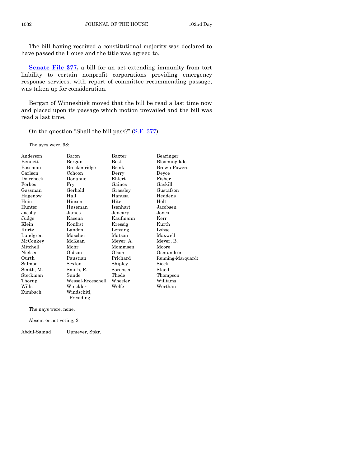**[Senate File 377,](https://www.legis.iowa.gov/legislation/BillBook?ga=88&ba=SF377)** a bill for an act extending immunity from tort liability to certain nonprofit corporations providing emergency response services, with report of committee recommending passage, was taken up for consideration.

Bergan of Winneshiek moved that the bill be read a last time now and placed upon its passage which motion prevailed and the bill was read a last time.

On the question "Shall the bill pass?" ([S.F. 377\)](https://www.legis.iowa.gov/legislation/BillBook?ga=88&ba=SF377)

The ayes were, 98:

| Anderson       | Bacon             | Baxter        | Bearinger           |
|----------------|-------------------|---------------|---------------------|
| <b>Bennett</b> | Bergan            | $_{\rm Best}$ | Bloomingdale        |
| Bossman        | Breckenridge      | Brink         | <b>Brown-Powers</b> |
| Carlson        | Cohoon            | Derry         | Deyoe               |
| Dolecheck      | Donahue           | Ehlert        | Fisher              |
| Forbes         | Fry               | Gaines        | Gaskill             |
| Gassman        | Gerhold           | Grassley      | Gustafson           |
| Hagenow        | Hall              | Hanusa        | Heddens             |
| Hein           | Hinson            | Hite          | Holt                |
| Hunter         | Huseman           | Isenhart      | Jacobsen            |
| Jacoby         | James             | Jeneary       | Jones               |
| Judge          | Kacena            | Kaufmann      | Kerr                |
| Klein          | Konfrst           | Kressig       | Kurth               |
| Kurtz          | Landon            | Lensing       | Lohse               |
| Lundgren       | Mascher           | Matson        | Maxwell             |
| McConkey       | McKean            | Meyer, A.     | Meyer, B.           |
| Mitchell       | Mohr              | Mommsen       | Moore               |
| Nielsen        | Oldson            | Olson         | Osmundson           |
| Ourth          | Paustian          | Prichard      | Running-Marquardt   |
| Salmon         | Sexton            | Shipley       | Sieck               |
| Smith, M.      | Smith, R.         | Sorensen      | Staed               |
| Steckman       | Sunde             | Thede         | Thompson            |
| Thorup         | Wessel-Kroeschell | Wheeler       | Williams            |
| Wills          | Winckler          | Wolfe         | Worthan             |
| Zumbach        | Windschitl.       |               |                     |
|                | Presiding         |               |                     |

The nays were, none.

Absent or not voting, 2:

Abdul-Samad Upmeyer, Spkr.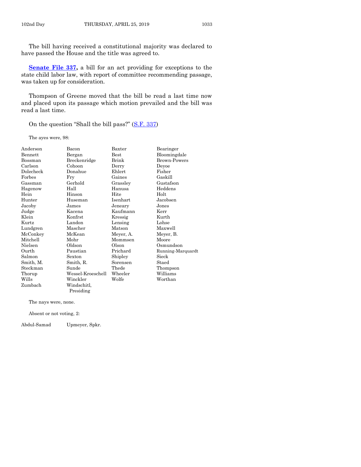**[Senate File 337,](https://www.legis.iowa.gov/legislation/BillBook?ga=88&ba=SF337)** a bill for an act providing for exceptions to the state child labor law, with report of committee recommending passage, was taken up for consideration.

Thompson of Greene moved that the bill be read a last time now and placed upon its passage which motion prevailed and the bill was read a last time.

On the question "Shall the bill pass?" ([S.F. 337\)](https://www.legis.iowa.gov/legislation/BillBook?ga=88&ba=SF337)

The ayes were, 98:

| Anderson  | Bacon             | Baxter        | Bearinger           |
|-----------|-------------------|---------------|---------------------|
| Bennett   | Bergan            | $_{\rm Best}$ | Bloomingdale        |
| Bossman   | Breckenridge      | Brink         | <b>Brown-Powers</b> |
| Carlson   | Cohoon            | Derry         | Deyoe               |
| Dolecheck | Donahue           | Ehlert        | Fisher              |
| Forbes    | Fry               | Gaines        | Gaskill             |
| Gassman   | Gerhold           | Grassley      | Gustafson           |
| Hagenow   | Hall              | Hanusa        | Heddens             |
| Hein      | Hinson            | Hite          | Holt                |
| Hunter    | Huseman           | Isenhart      | Jacobsen            |
| Jacoby    | James             | Jeneary       | Jones               |
| Judge     | Kacena            | Kaufmann      | Kerr                |
| Klein     | Konfrst           | Kressig       | Kurth               |
| Kurtz     | Landon            | Lensing       | Lohse               |
| Lundgren  | Mascher           | Matson        | Maxwell             |
| McConkey  | McKean            | Meyer, A.     | Meyer, B.           |
| Mitchell  | Mohr              | Mommsen       | Moore               |
| Nielsen   | Oldson            | Olson         | Osmundson           |
| Ourth     | Paustian          | Prichard      | Running-Marquardt   |
| Salmon    | Sexton            | Shipley       | Sieck               |
| Smith, M. | Smith, R.         | Sorensen      | Staed               |
| Steckman  | Sunde             | Thede         | Thompson            |
| Thorup    | Wessel-Kroeschell | Wheeler       | Williams            |
| Wills     | Winckler          | Wolfe         | Worthan             |
| Zumbach   | Windschitl,       |               |                     |
|           | Presiding         |               |                     |

The nays were, none.

Absent or not voting, 2:

Abdul-Samad Upmeyer, Spkr.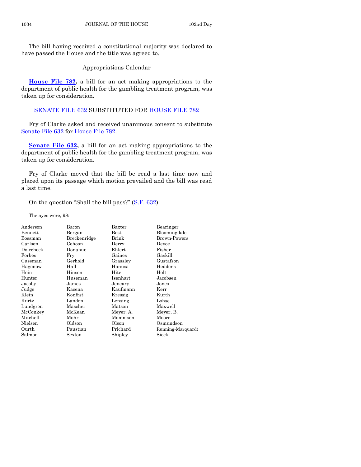Appropriations Calendar

**[House File 782,](https://www.legis.iowa.gov/legislation/BillBook?ga=88&ba=HF782)** a bill for an act making appropriations to the department of public health for the gambling treatment program, was taken up for consideration.

#### [SENATE FILE 632](https://www.legis.iowa.gov/legislation/BillBook?ga=88&ba=SF632) SUBSTITUTED FOR [HOUSE FILE 782](https://www.legis.iowa.gov/legislation/BillBook?ga=88&ba=HF782)

Fry of Clarke asked and received unanimous consent to substitute [Senate File 632](https://www.legis.iowa.gov/legislation/BillBook?ga=88&ba=SF632) for [House File 782.](https://www.legis.iowa.gov/legislation/BillBook?ga=88&ba=HF782)

**[Senate File 632,](https://www.legis.iowa.gov/legislation/BillBook?ga=88&ba=SF632)** a bill for an act making appropriations to the department of public health for the gambling treatment program, was taken up for consideration.

Fry of Clarke moved that the bill be read a last time now and placed upon its passage which motion prevailed and the bill was read a last time.

On the question "Shall the bill pass?" ([S.F. 632\)](https://www.legis.iowa.gov/legislation/BillBook?ga=88&ba=SF632)

The ayes were, 98:

| Anderson  | Bacon        | Baxter    | Bearinger           |
|-----------|--------------|-----------|---------------------|
| Bennett   | Bergan       | Best      | Bloomingdale        |
| Bossman   | Breckenridge | Brink     | <b>Brown-Powers</b> |
| Carlson   | Cohoon       | Derry     | Devoe               |
| Dolecheck | Donahue      | Ehlert    | Fisher              |
| Forbes    | Fry          | Gaines    | Gaskill             |
| Gassman   | Gerhold      | Grassley  | Gustafson           |
| Hagenow   | Hall         | Hanusa    | Heddens             |
| Hein      | Hinson       | Hite      | Holt                |
| Hunter    | Huseman      | Isenhart  | Jacobsen            |
| Jacoby    | James        | Jeneary   | Jones               |
| Judge     | Kacena       | Kaufmann  | Kerr                |
| Klein     | Konfrst      | Kressig   | Kurth               |
| Kurtz     | Landon       | Lensing   | Lohse               |
| Lundgren  | Mascher      | Matson    | Maxwell             |
| McConkey  | McKean       | Meyer, A. | Meyer, B.           |
| Mitchell  | Mohr         | Mommsen   | Moore               |
| Nielsen   | Oldson       | Olson     | Osmundson           |
| Ourth     | Paustian     | Prichard  | Running-Marquardt   |
| Salmon    | Sexton       | Shipley   | Sieck               |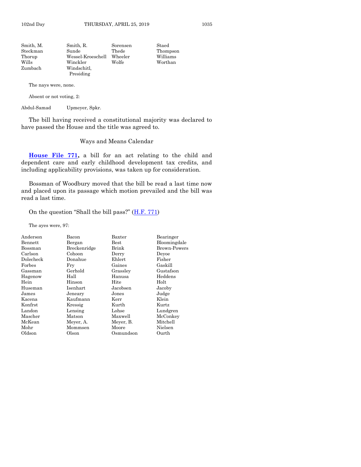| Smith, R.                | Sorensen | Staed    |
|--------------------------|----------|----------|
| Sunde                    | Thede    | Thompson |
| Wessel-Kroeschell        | Wheeler  | Williams |
| Winckler                 | Wolfe    | Worthan  |
| Windschitl.<br>Presiding |          |          |
|                          |          |          |

The nays were, none.

Absent or not voting, 2:

Abdul-Samad Upmeyer, Spkr.

The bill having received a constitutional majority was declared to have passed the House and the title was agreed to.

#### Ways and Means Calendar

**[House File 771,](https://www.legis.iowa.gov/legislation/BillBook?ga=88&ba=HF771)** a bill for an act relating to the child and dependent care and early childhood development tax credits, and including applicability provisions, was taken up for consideration.

Bossman of Woodbury moved that the bill be read a last time now and placed upon its passage which motion prevailed and the bill was read a last time.

On the question "Shall the bill pass?"  $(H.F. 771)$  $(H.F. 771)$ 

The ayes were, 97:

| Bacon        | Baxter        | Bearinger           |
|--------------|---------------|---------------------|
| Bergan       | $_{\rm Best}$ | Bloomingdale        |
| Breckenridge | Brink         | <b>Brown-Powers</b> |
| Cohoon       | Derry         | Devoe               |
| Donahue      | Ehlert        | Fisher              |
| Fry          | Gaines        | Gaskill             |
| Gerhold      | Grassley      | Gustafson           |
| Hall         | Hanusa        | Heddens             |
| Hinson       | Hite          | Holt                |
| Isenhart     | Jacobsen      | Jacoby              |
| Jeneary      | Jones         | Judge               |
| Kaufmann     | Kerr          | Klein               |
| Kressig      | Kurth         | Kurtz               |
| Lensing      | Lohse         | Lundgren            |
| Matson       | Maxwell       | McConkey            |
| Meyer, A.    | Meyer, B.     | Mitchell            |
| Mommsen      | Moore         | Nielsen             |
| Olson        | Osmundson     | Ourth               |
|              |               |                     |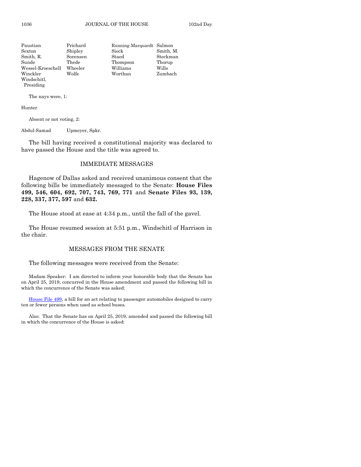| Paustian          | Prichard | Running-Marquardt Salmon |           |
|-------------------|----------|--------------------------|-----------|
| Sexton            | Shipley  | Sieck                    | Smith, M. |
| Smith, R.         | Sorensen | Staed                    | Steckman  |
| Sunde             | Thede    | Thompson                 | Thorup    |
| Wessel-Kroeschell | Wheeler  | Williams                 | Wills     |
| Winckler          | Wolfe    | Worthan                  | Zumbach   |
| Windschitl,       |          |                          |           |

The nays were, 1:

Hunter

Presiding

Absent or not voting, 2:

Abdul-Samad Upmeyer, Spkr.

The bill having received a constitutional majority was declared to have passed the House and the title was agreed to.

#### IMMEDIATE MESSAGES

Hagenow of Dallas asked and received unanimous consent that the following bills be immediately messaged to the Senate: **House Files 499, 546, 604, 692, 707, 743, 769, 771** and **Senate Files 93, 139, 228, 337, 377, 597** and **632.**

The House stood at ease at 4:34 p.m., until the fall of the gavel.

The House resumed session at 5:51 p.m., Windschitl of Harrison in the chair.

#### MESSAGES FROM THE SENATE

The following messages were received from the Senate:

Madam Speaker: I am directed to inform your honorable body that the Senate has on April 25, 2019, concurred in the House amendment and passed the following bill in which the concurrence of the Senate was asked:

[House File 499,](https://www.legis.iowa.gov/legislation/BillBook?ga=88&ba=HF499) a bill for an act relating to passenger automobiles designed to carry ten or fewer persons when used as school buses.

Also: That the Senate has on April 25, 2019, amended and passed the following bill in which the concurrence of the House is asked: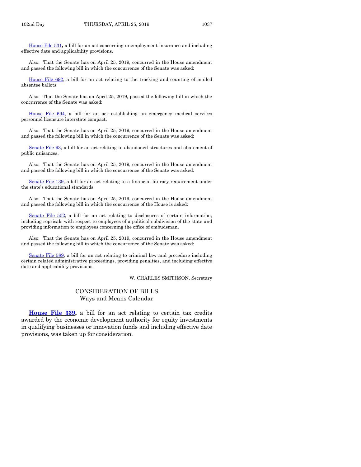[House File 531](https://www.legis.iowa.gov/legislation/BillBook?ga=88&ba=HF531)**,** a bill for an act concerning unemployment insurance and including effective date and applicability provisions.

Also: That the Senate has on April 25, 2019, concurred in the House amendment and passed the following bill in which the concurrence of the Senate was asked:

[House File 692,](https://www.legis.iowa.gov/legislation/BillBook?ga=88&ba=HF692) a bill for an act relating to the tracking and counting of mailed absentee ballots.

Also: That the Senate has on April 25, 2019, passed the following bill in which the concurrence of the Senate was asked:

[House File 694,](https://www.legis.iowa.gov/legislation/BillBook?ga=88&ba=HF694) a bill for an act establishing an emergency medical services personnel licensure interstate compact.

Also: That the Senate has on April 25, 2019, concurred in the House amendment and passed the following bill in which the concurrence of the Senate was asked:

[Senate File 93,](https://www.legis.iowa.gov/legislation/BillBook?ga=88&ba=SF93) a bill for an act relating to abandoned structures and abatement of public nuisances.

Also: That the Senate has on April 25, 2019, concurred in the House amendment and passed the following bill in which the concurrence of the Senate was asked:

[Senate File 139,](https://www.legis.iowa.gov/legislation/BillBook?ga=88&ba=SF139) a bill for an act relating to a financial literacy requirement under the state's educational standards.

Also: That the Senate has on April 25, 2019, concurred in the House amendment and passed the following bill in which the concurrence of the House is asked:

[Senate File 502,](https://www.legis.iowa.gov/legislation/BillBook?ga=88&ba=SF502) a bill for an act relating to disclosures of certain information, including reprisals with respect to employees of a political subdivision of the state and providing information to employees concerning the office of ombudsman.

Also: That the Senate has on April 25, 2019, concurred in the House amendment and passed the following bill in which the concurrence of the Senate was asked:

[Senate File 589,](https://www.legis.iowa.gov/legislation/BillBook?ga=88&ba=SF589) a bill for an act relating to criminal law and procedure including certain related administrative proceedings, providing penalties, and including effective date and applicability provisions.

W. CHARLES SMITHSON, Secretary

#### CONSIDERATION OF BILLS Ways and Means Calendar

**[House File 339,](https://www.legis.iowa.gov/legislation/BillBook?ga=88&ba=HF339)** a bill for an act relating to certain tax credits awarded by the economic development authority for equity investments in qualifying businesses or innovation funds and including effective date provisions, was taken up for consideration.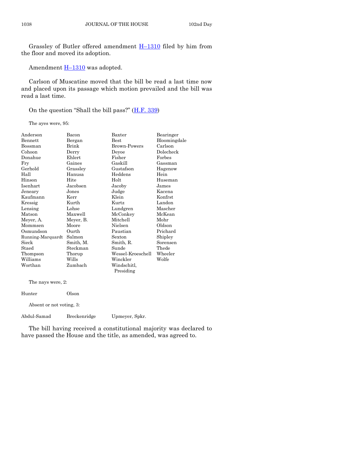Grassley of Butler offered amendment  $H-1310$  $H-1310$  filed by him from the floor and moved its adoption.

Amendment **H**-[1310](https://www.legis.iowa.gov/legislation/BillBook?ga=88&ba=H1310) was adopted.

Carlson of Muscatine moved that the bill be read a last time now and placed upon its passage which motion prevailed and the bill was read a last time.

On the question "Shall the bill pass?" ([H.F. 339\)](https://www.legis.iowa.gov/legislation/BillBook?ga=88&ba=HF339)

The ayes were, 95:

| Anderson          | Bacon     | Baxter            | Bearinger    |
|-------------------|-----------|-------------------|--------------|
| Bennett           | Bergan    | <b>Best</b>       | Bloomingdale |
| Bossman           | Brink     | Brown-Powers      | Carlson      |
| Cohoon            | Derry     | Deyoe             | Dolecheck    |
| Donahue           | Ehlert    | Fisher            | Forbes       |
| Fry               | Gaines    | Gaskill           | Gassman      |
| Gerhold           | Grassley  | Gustafson         | Hagenow      |
| Hall              | Hanusa    | Heddens           | Hein         |
| Hinson            | Hite      | Holt              | Huseman      |
| Isenhart          | Jacobsen  | Jacoby            | James        |
| Jeneary           | Jones     | Judge             | Kacena       |
| Kaufmann          | Kerr      | Klein             | Konfrst      |
| Kressig           | Kurth     | Kurtz             | Landon       |
| Lensing           | Lohse     | Lundgren          | Mascher      |
| Matson            | Maxwell   | McConkey          | McKean       |
| Meyer, A.         | Meyer, B. | Mitchell          | Mohr         |
| Mommsen           | Moore     | Nielsen           | Oldson       |
| Osmundson         | Ourth     | Paustian          | Prichard     |
| Running-Marquardt | Salmon    | Sexton            | Shipley      |
| Sieck             | Smith, M. | Smith, R.         | Sorensen     |
| Staed             | Steckman  | Sunde             | Thede        |
| Thompson          | Thorup    | Wessel-Kroeschell | Wheeler      |
| Williams          | Wills     | Winckler          | Wolfe        |
| Worthan           | Zumbach   | Windschitl,       |              |
|                   |           | Presiding         |              |
| The nays were, 2: |           |                   |              |

| Olson                    |                |
|--------------------------|----------------|
| Absent or not voting, 3: |                |
| Breckenridge             | Upmeyer, Spkr. |
|                          |                |

The bill having received a constitutional majority was declared to have passed the House and the title, as amended, was agreed to.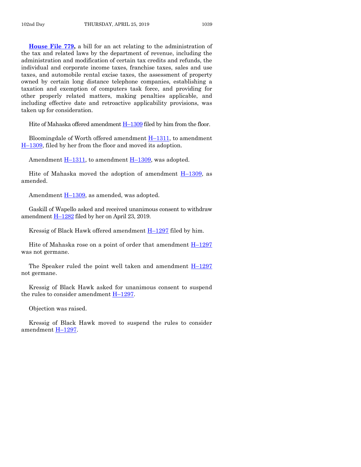**[House File 779,](https://www.legis.iowa.gov/legislation/BillBook?ga=88&ba=HF779)** a bill for an act relating to the administration of the tax and related laws by the department of revenue, including the administration and modification of certain tax credits and refunds, the individual and corporate income taxes, franchise taxes, sales and use taxes, and automobile rental excise taxes, the assessment of property owned by certain long distance telephone companies, establishing a taxation and exemption of computers task force, and providing for other properly related matters, making penalties applicable, and including effective date and retroactive applicability provisions, was taken up for consideration.

Hite of Mahaska offered amendment H-[1309](https://www.legis.iowa.gov/legislation/BillBook?ga=88&ba=H1309) filed by him from the floor.

Bloomingdale of Worth offered amendment H–[1311,](https://www.legis.iowa.gov/legislation/BillBook?ga=88&ba=H1311) to amendment H–[1309,](https://www.legis.iowa.gov/legislation/BillBook?ga=88&ba=H1309) filed by her from the floor and moved its adoption.

Amendment H–[1311,](https://www.legis.iowa.gov/legislation/BillBook?ga=88&ba=H1311) to amendment H–[1309,](https://www.legis.iowa.gov/legislation/BillBook?ga=88&ba=H1309) was adopted.

Hite of Mahaska moved the adoption of amendment H–[1309,](https://www.legis.iowa.gov/legislation/BillBook?ga=88&ba=H1309) as amended.

Amendment H–[1309,](https://www.legis.iowa.gov/legislation/BillBook?ga=88&ba=H1309) as amended, was adopted.

Gaskill of Wapello asked and received unanimous consent to withdraw amendment  $H-1282$  $H-1282$  filed by her on April 23, 2019.

Kressig of Black Hawk offered amendment  $H-1297$  $H-1297$  filed by him.

Hite of Mahaska rose on a point of order that amendment  $H-1297$  $H-1297$ was not germane.

The Speaker ruled the point well taken and amendment  $H-1297$  $H-1297$ not germane.

Kressig of Black Hawk asked for unanimous consent to suspend the rules to consider amendment H–[1297.](https://www.legis.iowa.gov/legislation/BillBook?ga=88&ba=H1297)

Objection was raised.

Kressig of Black Hawk moved to suspend the rules to consider amendment H–[1297.](https://www.legis.iowa.gov/legislation/BillBook?ga=88&ba=H1297)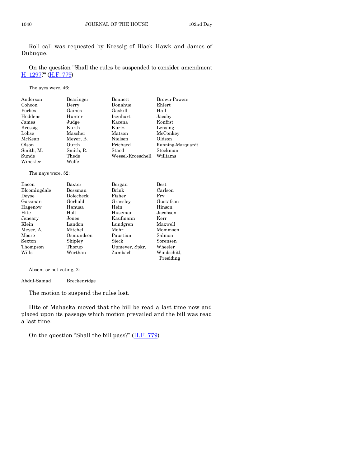Roll call was requested by Kressig of Black Hawk and James of Dubuque.

On the question "Shall the rules be suspended to consider amendment H–[1297?](https://www.legis.iowa.gov/legislation/BillBook?ga=88&ba=H1297)" [\(H.F. 779\)](https://www.legis.iowa.gov/legislation/BillBook?ga=88&ba=HF779)

The ayes were, 46:

| Anderson  | Bearinger | Bennett           | <b>Brown-Powers</b> |
|-----------|-----------|-------------------|---------------------|
| Cohoon    | Derry     | Donahue           | Ehlert              |
| Forbes    | Gaines    | Gaskill           | Hall                |
| Heddens   | Hunter    | Isenhart          | Jacoby              |
| James     | Judge     | Kacena            | Konfrst             |
| Kressig   | Kurth     | Kurtz             | Lensing             |
| Lohse     | Mascher   | Matson            | McConkey            |
| McKean    | Meyer, B. | Nielsen           | Oldson              |
| Olson     | Ourth     | Prichard          | Running-Marquardt   |
| Smith, M. | Smith, R. | Staed             | Steckman            |
| Sunde     | Thede     | Wessel-Kroeschell | Williams            |
| Winckler  | Wolfe     |                   |                     |

The nays were, 52:

| Bacon        | Baxter    | Bergan         | <b>Best</b> |
|--------------|-----------|----------------|-------------|
| Bloomingdale | Bossman   | Brink          | Carlson     |
| Devoe        | Dolecheck | Fisher         | Frv         |
| Gassman      | Gerhold   | Grasslev       | Gustafson   |
| Hagenow      | Hanusa    | Hein           | Hinson      |
| Hite         | Holt      | Huseman        | Jacobsen    |
| Jeneary      | Jones     | Kaufmann       | Kerr        |
| Klein        | Landon    | Lundgren       | Maxwell     |
| Meyer, A.    | Mitchell  | Mohr           | Mommsen     |
| Moore        | Osmundson | Paustian       | Salmon      |
| Sexton       | Shipley   | Sieck          | Sorensen    |
| Thompson     | Thorup    | Upmeyer, Spkr. | Wheeler     |
| Wills        | Worthan   | Zumbach        | Windschitl. |
|              |           |                | Presiding   |

Absent or not voting, 2:

Abdul-Samad Breckenridge

The motion to suspend the rules lost.

Hite of Mahaska moved that the bill be read a last time now and placed upon its passage which motion prevailed and the bill was read a last time.

On the question "Shall the bill pass?" ([H.F. 779\)](https://www.legis.iowa.gov/legislation/BillBook?ga=88&ba=HF779)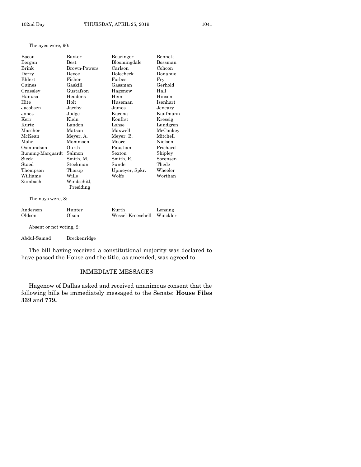The ayes were, 90:

| Bacon             | Baxter       | Bearinger      | Bennett  |
|-------------------|--------------|----------------|----------|
| Bergan            | Best         | Bloomingdale   | Bossman  |
| Brink             | Brown-Powers | Carlson        | Cohoon   |
| Derry             | Deyoe        | Dolecheck      | Donahue  |
| Ehlert            | Fisher       | Forbes         | Fry      |
| Gaines            | Gaskill      | Gassman        | Gerhold  |
| Grassley          | Gustafson    | Hagenow        | Hall     |
| Hanusa            | Heddens      | Hein           | Hinson   |
| Hite              | Holt         | Huseman        | Isenhart |
| Jacobsen          | Jacoby       | James          | Jeneary  |
| Jones             | Judge        | Kacena         | Kaufmann |
| Kerr              | Klein        | Konfrst        | Kressig  |
| Kurtz             | Landon       | Lohse          | Lundgren |
| Mascher           | Matson       | Maxwell        | McConkey |
| McKean            | Meyer, A.    | Meyer, B.      | Mitchell |
| Mohr              | Mommsen      | Moore          | Nielsen  |
| Osmundson         | Ourth        | Paustian       | Prichard |
| Running-Marquardt | Salmon       | Sexton         | Shipley  |
| Sieck             | Smith, M.    | Smith, R.      | Sorensen |
| Staed             | Steckman     | Sunde          | Thede    |
| Thompson          | Thorup       | Upmeyer, Spkr. | Wheeler  |
| Williams          | Wills        | Wolfe          | Worthan  |
| Zumbach           | Windschitl,  |                |          |
|                   | Presiding    |                |          |

The nays were, 8:

| Anderson | Hunter | Kurth                      | Lensing |
|----------|--------|----------------------------|---------|
| Oldson   | Olson  | Wessel-Kroeschell Winckler |         |

Absent or not voting, 2:

Abdul-Samad Breckenridge

The bill having received a constitutional majority was declared to have passed the House and the title, as amended, was agreed to.

#### IMMEDIATE MESSAGES

Hagenow of Dallas asked and received unanimous consent that the following bills be immediately messaged to the Senate: **House Files 339** and **779.**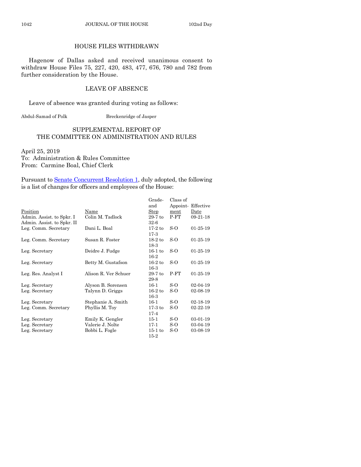### HOUSE FILES WITHDRAWN

Hagenow of Dallas asked and received unanimous consent to withdraw House Files 75, 227, 420, 483, 477, 676, 780 and 782 from further consideration by the House.

#### LEAVE OF ABSENCE

Leave of absence was granted during voting as follows:

Abdul-Samad of Polk Breckenridge of Jasper

#### SUPPLEMENTAL REPORT OF THE COMMITTEE ON ADMINISTRATION AND RULES

April 25, 2019 To: Administration & Rules Committee From: Carmine Boal, Chief Clerk

Pursuant to [Senate Concurrent Resolution 1,](https://www.legis.iowa.gov/legislation/BillBook?ga=88&ba=SCR1) duly adopted, the following is a list of changes for officers and employees of the House:

|                            |                      | Grade-    | Class of |                |
|----------------------------|----------------------|-----------|----------|----------------|
|                            |                      | and       | Appoint- | Effective      |
| Position                   | Name                 | Step      | ment     | Date           |
| Admin. Assist. to Spkr. I  | Colin M. Tadlock     | $29-7$ to | $P-FT$   | $09-21-18$     |
| Admin. Assist. to Spkr. II |                      | $32-6$    |          |                |
| Leg. Comm. Secretary       | Dani L. Boal         | $17-2$ to | S-O      | $01-25-19$     |
|                            |                      | $17-3$    |          |                |
| Leg. Comm. Secretary       | Susan R. Foster      | $18-2$ to | S-O      | $01-25-19$     |
|                            |                      | 18-3      |          |                |
| Leg. Secretary             | Deidre J. Fudge      | $16-1$ to | S-O      | $01-25-19$     |
|                            |                      | $16-2$    |          |                |
| Leg. Secretary             | Betty M. Gustafson   | $16-2$ to | S-O      | $01-25-19$     |
|                            |                      | $16-3$    |          |                |
| Leg. Res. Analyst I        | Alison R. Ver Schuer | $29-7$ to | $P-FT$   | $01-25-19$     |
|                            |                      | 29-8      |          |                |
| Leg. Secretary             | Alyson B. Sorensen   | $16-1$    | S-O      | 02-04-19       |
| Leg. Secretary             | Talynn D. Griggs     | $16-2$ to | S-O      | 02-08-19       |
|                            |                      | $16-3$    |          |                |
| Leg. Secretary             | Stephanie A. Smith   | $16-1$    | S-O      | $02 - 18 - 19$ |
| Leg. Comm. Secretary       | Phyllis M. Toy       | $17-3$ to | S-O      | 02-22-19       |
|                            |                      | $17-4$    |          |                |
| Leg. Secretary             | Emily K. Gengler     | $15-1$    | S-O      | 03-01-19       |
| Leg. Secretary             | Valerie J. Nolte     | $17-1$    | S-O      | 03-04-19       |
| Leg. Secretary             | Bobbi L. Fogle       | $15-1$ to | $S-O$    | 03-08-19       |
|                            |                      | $15-2$    |          |                |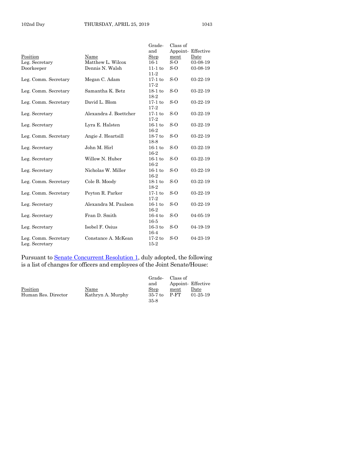|                      |                        | Grade-<br>and       | Class of | Appoint-Effective |
|----------------------|------------------------|---------------------|----------|-------------------|
| Position             | Name                   | Step                | ment     | Date              |
|                      | Matthew L. Wilcox      | $16-1$              | $S-O$    | 03-08-19          |
| Leg. Secretary       |                        |                     | $S-O$    |                   |
| Doorkeeper           | Dennis N. Walsh        | $11-1$ to<br>$11-2$ |          | 03-08-19          |
| Leg. Comm. Secretary | Megan C. Adam          | $17-1$ to           | $S-o$    | 03-22-19          |
|                      |                        | $17-2$              |          |                   |
| Leg. Comm. Secretary | Samantha K. Betz       | $18-1$ to<br>18-2   | $S-o$    | 03-22-19          |
| Leg. Comm. Secretary | David L. Blom          | $17-1$ to           | $S-o$    | 03-22-19          |
|                      |                        | $17-2$              |          |                   |
| Leg. Secretary       | Alexandra J. Boettcher | $17-1$ to           | S-O      | $03 - 22 - 19$    |
|                      |                        | $17-2$              |          |                   |
| Leg. Secretary       | Lyra E. Halsten        | $16-1$ to           | $S-0$    | $03 - 22 - 19$    |
|                      |                        | $16-2$              |          |                   |
| Leg. Comm. Secretary | Angie J. Heartsill     | $18-7$ to           | $S-o$    | 03-22-19          |
|                      |                        | 18-8                |          |                   |
| Leg. Secretary       | John M. Hirl           | $16-1$ to           | S-O      | $03 - 22 - 19$    |
|                      |                        | $16-2$              |          |                   |
| Leg. Secretary       | Willow N. Huber        | $16-1$ to           | $S-O$    | $03 - 22 - 19$    |
|                      |                        | $16-2$              |          |                   |
| Leg. Secretary       | Nicholas W. Miller     | $16-1$ to           | S-O      | 03-22-19          |
|                      |                        | $16-2$              |          |                   |
| Leg. Comm. Secretary | Cole B. Moody          | $18-1$ to           | $S-o$    | $03 - 22 - 19$    |
|                      |                        | $18-2$              |          |                   |
| Leg. Comm. Secretary | Peyton R. Parker       | $17-1$ to           | $S-o$    | 03-22-19          |
|                      |                        | $17-2$              |          |                   |
| Leg. Secretary       | Alexandra M. Paulson   | $16-1$ to           | $S-0$    | $03 - 22 - 19$    |
|                      |                        | $16-2$              |          |                   |
| Leg. Secretary       | Fran D. Smith          | $16-4$ to           | $S-0$    | 04-05-19          |
|                      |                        | $16-5$              |          |                   |
| Leg. Secretary       | Isobel F. Osius        | $16-3$ to           | $S-o$    | 04-19-19          |
|                      |                        | $16-4$              |          |                   |
| Leg. Comm. Secretary | Constance A. McKean    | $17-2$ to           | S-O      | 04-23-19          |
| Leg. Secretary       |                        | $15-2$              |          |                   |
|                      |                        |                     |          |                   |

Pursuant to **Senate Concurrent Resolution 1**, duly adopted, the following is a list of changes for officers and employees of the Joint Senate/House:

|      | Appoint Effective |
|------|-------------------|
| ment | Date              |
| P-FT | $01-25-19$        |
|      |                   |
|      | Class of          |